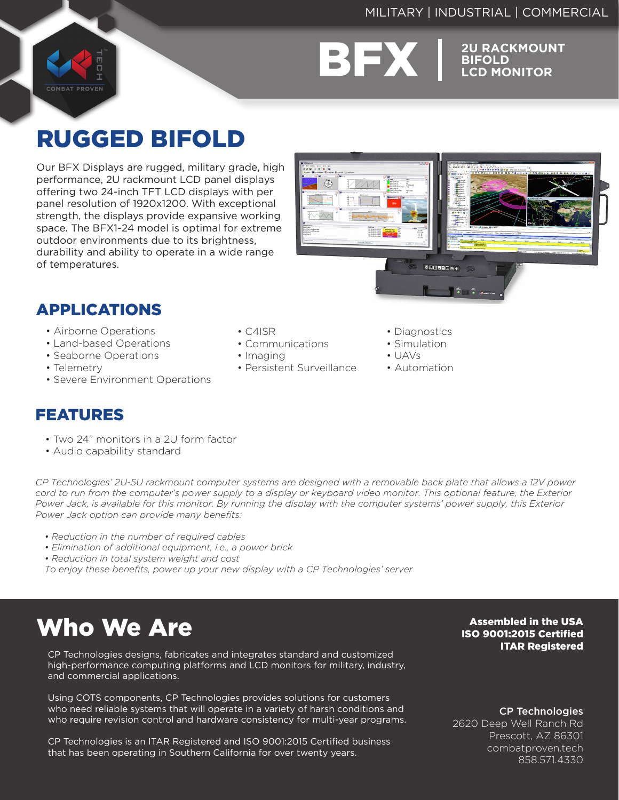### MILITARY | INDUSTRIAL | COMMERCIAL

**COMBAT PROVEN** 



**BIFOLD LCD MONITOR**

## RUGGED BIFOLD

Our BFX Displays are rugged, military grade, high performance, 2U rackmount LCD panel displays offering two 24-inch TFT LCD displays with per panel resolution of 1920x1200. With exceptional strength, the displays provide expansive working space. The BFX1-24 model is optimal for extreme outdoor environments due to its brightness, durability and ability to operate in a wide range of temperatures.



### APPLICATIONS

- Airborne Operations
- Land-based Operations
- Seaborne Operations
- Telemetry
- Severe Environment Operations

### FEATURES

- Two 24" monitors in a 2U form factor
- Audio capability standard

*CP Technologies' 2U-5U rackmount computer systems are designed with a removable back plate that allows a 12V power cord to run from the computer's power supply to a display or keyboard video monitor. This optional feature, the Exterior Power Jack, is available for this monitor. By running the display with the computer systems' power supply, this Exterior Power Jack option can provide many benefits:*

- *Reduction in the number of required cables*
- *Elimination of additional equipment, i.e., a power brick*
- *Reduction in total system weight and cost*
- *To enjoy these benefits, power up your new display with a CP Technologies' server*

## Who We Are

CP Technologies designs, fabricates and integrates standard and customized high-performance computing platforms and LCD monitors for military, industry, and commercial applications.

Using COTS components, CP Technologies provides solutions for customers who need reliable systems that will operate in a variety of harsh conditions and who require revision control and hardware consistency for multi-year programs.

CP Technologies is an ITAR Registered and ISO 9001:2015 Certified business that has been operating in Southern California for over twenty years.

Assembled in the USA ISO 9001:2015 Certified ITAR Registered

CP Technologies

2620 Deep Well Ranch Rd Prescott, AZ 86301 combatproven.tech 858.571.4330

#### • C4ISR

- Communications
- Imaging
- Persistent Surveillance
- Diagnostics
- Simulation
- $\cdot$  UAVs
- Automation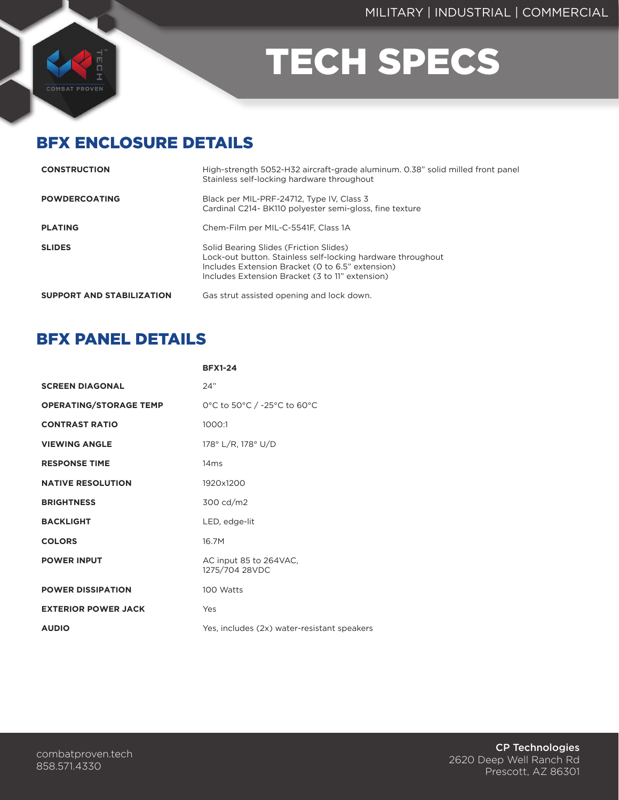

# TECH SPECS

### BFX ENCLOSURE DETAILS

| <b>CONSTRUCTION</b>              | High-strength 5052-H32 aircraft-grade aluminum. 0.38" solid milled front panel<br>Stainless self-locking hardware throughout                                                                                 |
|----------------------------------|--------------------------------------------------------------------------------------------------------------------------------------------------------------------------------------------------------------|
| <b>POWDERCOATING</b>             | Black per MIL-PRF-24712, Type IV, Class 3<br>Cardinal C214- BK110 polvester semi-gloss, fine texture                                                                                                         |
| <b>PLATING</b>                   | Chem-Film per MIL-C-5541F, Class 1A                                                                                                                                                                          |
| <b>SLIDES</b>                    | Solid Bearing Slides (Friction Slides)<br>Lock-out button. Stainless self-locking hardware throughout<br>Includes Extension Bracket (0 to 6.5" extension)<br>Includes Extension Bracket (3 to 11" extension) |
| <b>SUPPORT AND STABILIZATION</b> | Gas strut assisted opening and lock down.                                                                                                                                                                    |

### BFX PANEL DETAILS

|                               | <b>BFX1-24</b>                              |
|-------------------------------|---------------------------------------------|
| <b>SCREEN DIAGONAL</b>        | 24"                                         |
| <b>OPERATING/STORAGE TEMP</b> | 0°C to 50°C / -25°C to 60°C                 |
| <b>CONTRAST RATIO</b>         | 1000:1                                      |
| <b>VIEWING ANGLE</b>          | 178° L/R, 178° U/D                          |
| <b>RESPONSE TIME</b>          | 14ms                                        |
| <b>NATIVE RESOLUTION</b>      | 1920x1200                                   |
| <b>BRIGHTNESS</b>             | 300 cd/m2                                   |
| <b>BACKLIGHT</b>              | LED, edge-lit                               |
| <b>COLORS</b>                 | 16.7M                                       |
| <b>POWER INPUT</b>            | AC input 85 to 264VAC,<br>1275/704 28VDC    |
| <b>POWER DISSIPATION</b>      | 100 Watts                                   |
| <b>EXTERIOR POWER JACK</b>    | Yes                                         |
| <b>AUDIO</b>                  | Yes, includes (2x) water-resistant speakers |